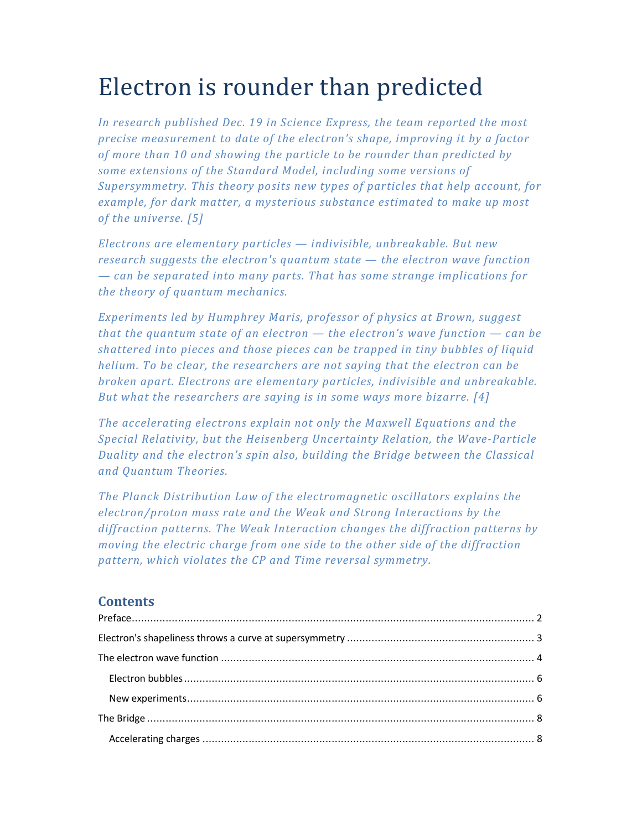# Electron is rounder than predicted

*In research published Dec. 19 in Science Express, the team reported the most precise measurement to date of the electron's shape, improving it by a factor of more than 10 and showing the particle to be rounder than predicted by some extensions of the Standard Model, including some versions of Supersymmetry. This theory posits new types of particles that help account, for example, for dark matter, a mysterious substance estimated to make up most of the universe. [5]* 

*Electrons are elementary particles — indivisible, unbreakable. But new research suggests the electron's quantum state — the electron wave function — can be separated into many parts. That has some strange implications for the theory of quantum mechanics.* 

*Experiments led by Humphrey Maris, professor of physics at Brown, suggest that the quantum state of an electron — the electron's wave function — can be shattered into pieces and those pieces can be trapped in tiny bubbles of liquid helium. To be clear, the researchers are not saying that the electron can be broken apart. Electrons are elementary particles, indivisible and unbreakable. But what the researchers are saying is in some ways more bizarre. [4]* 

*The accelerating electrons explain not only the Maxwell Equations and the Special Relativity, but the Heisenberg Uncertainty Relation, the Wave-Particle Duality and the electron's spin also, building the Bridge between the Classical and Quantum Theories.* 

*The Planck Distribution Law of the electromagnetic oscillators explains the electron/proton mass rate and the Weak and Strong Interactions by the diffraction patterns. The Weak Interaction changes the diffraction patterns by moving the electric charge from one side to the other side of the diffraction pattern, which violates the CP and Time reversal symmetry.* 

# **Contents**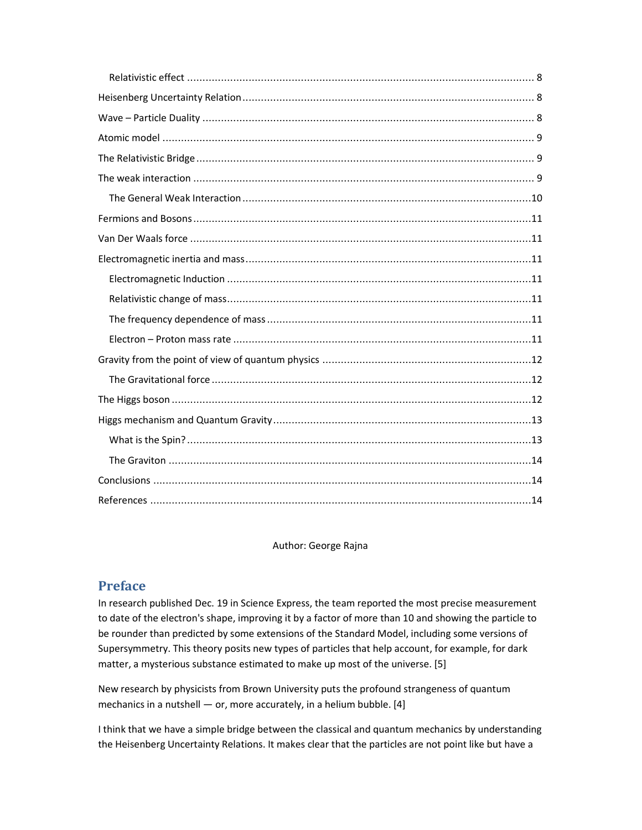#### Author: George Rajna

## **Preface**

In research published Dec. 19 in Science Express, the team reported the most precise measurement to date of the electron's shape, improving it by a factor of more than 10 and showing the particle to be rounder than predicted by some extensions of the Standard Model, including some versions of Supersymmetry. This theory posits new types of particles that help account, for example, for dark matter, a mysterious substance estimated to make up most of the universe. [5]

New research by physicists from Brown University puts the profound strangeness of quantum mechanics in a nutshell — or, more accurately, in a helium bubble. [4]

I think that we have a simple bridge between the classical and quantum mechanics by understanding the Heisenberg Uncertainty Relations. It makes clear that the particles are not point like but have a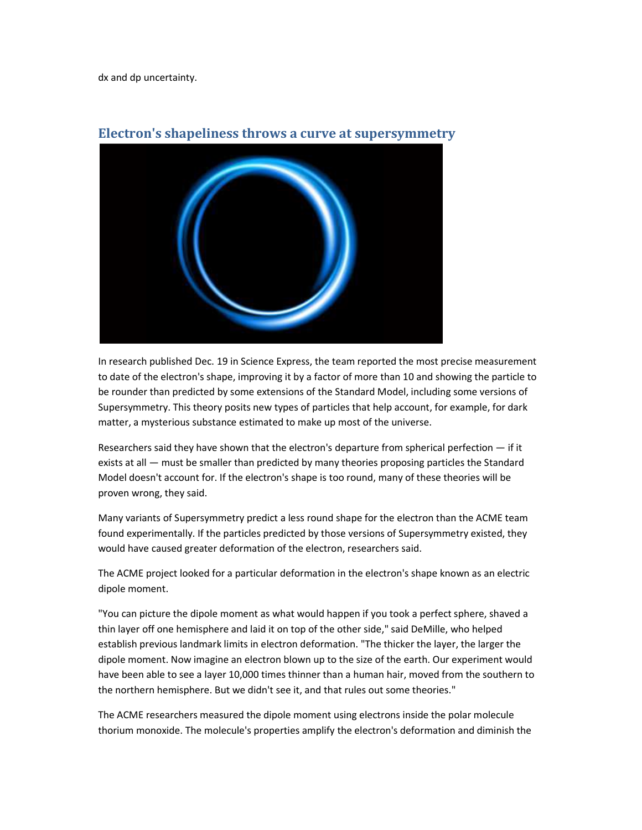dx and dp uncertainty.



# **Electron's shapeliness throws a curve at supersymmetry**

In research published Dec. 19 in Science Express, the team reported the most precise measurement to date of the electron's shape, improving it by a factor of more than 10 and showing the particle to be rounder than predicted by some extensions of the Standard Model, including some versions of Supersymmetry. This theory posits new types of particles that help account, for example, for dark matter, a mysterious substance estimated to make up most of the universe.

Researchers said they have shown that the electron's departure from spherical perfection  $-$  if it exists at all — must be smaller than predicted by many theories proposing particles the Standard Model doesn't account for. If the electron's shape is too round, many of these theories will be proven wrong, they said.

Many variants of Supersymmetry predict a less round shape for the electron than the ACME team found experimentally. If the particles predicted by those versions of Supersymmetry existed, they would have caused greater deformation of the electron, researchers said.

The ACME project looked for a particular deformation in the electron's shape known as an electric dipole moment.

"You can picture the dipole moment as what would happen if you took a perfect sphere, shaved a thin layer off one hemisphere and laid it on top of the other side," said DeMille, who helped establish previous landmark limits in electron deformation. "The thicker the layer, the larger the dipole moment. Now imagine an electron blown up to the size of the earth. Our experiment would have been able to see a layer 10,000 times thinner than a human hair, moved from the southern to the northern hemisphere. But we didn't see it, and that rules out some theories."

The ACME researchers measured the dipole moment using electrons inside the polar molecule thorium monoxide. The molecule's properties amplify the electron's deformation and diminish the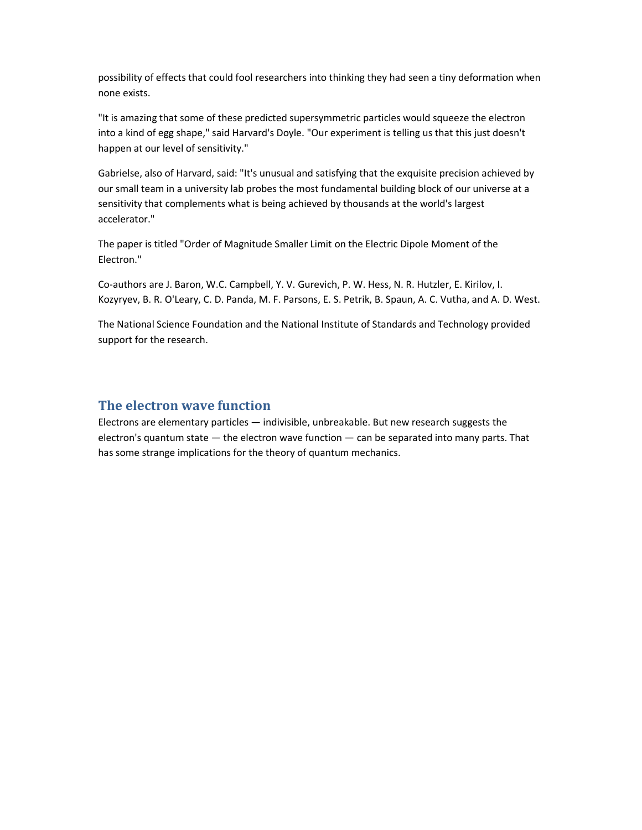possibility of effects that could fool researchers into thinking they had seen a tiny deformation when none exists.

"It is amazing that some of these predicted supersymmetric particles would squeeze the electron into a kind of egg shape," said Harvard's Doyle. "Our experiment is telling us that this just doesn't happen at our level of sensitivity."

Gabrielse, also of Harvard, said: "It's unusual and satisfying that the exquisite precision achieved by our small team in a university lab probes the most fundamental building block of our universe at a sensitivity that complements what is being achieved by thousands at the world's largest accelerator."

The paper is titled "Order of Magnitude Smaller Limit on the Electric Dipole Moment of the Electron."

Co-authors are J. Baron, W.C. Campbell, Y. V. Gurevich, P. W. Hess, N. R. Hutzler, E. Kirilov, I. Kozyryev, B. R. O'Leary, C. D. Panda, M. F. Parsons, E. S. Petrik, B. Spaun, A. C. Vutha, and A. D. West.

The National Science Foundation and the National Institute of Standards and Technology provided support for the research.

## **The electron wave function**

Electrons are elementary particles — indivisible, unbreakable. But new research suggests the electron's quantum state — the electron wave function — can be separated into many parts. That has some strange implications for the theory of quantum mechanics.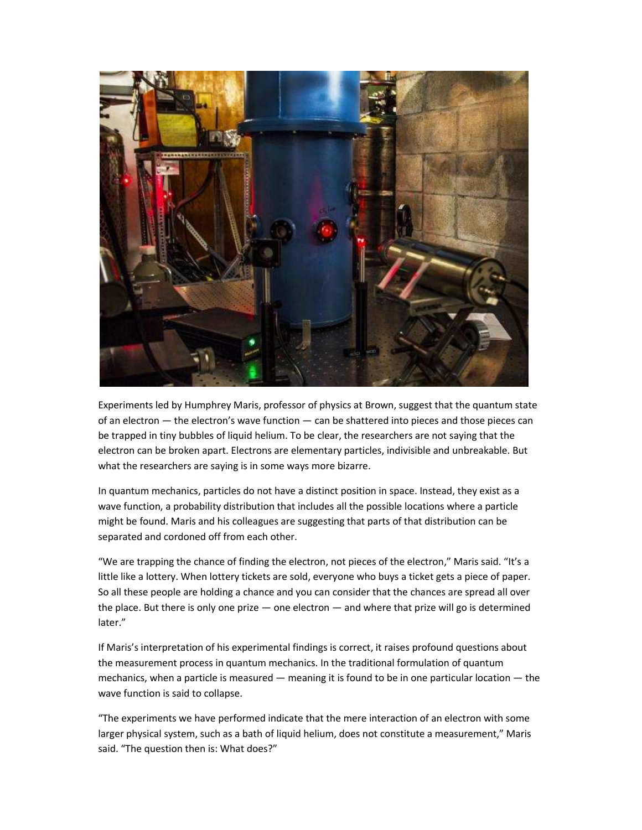

Experiments led by Humphrey Maris, professor of physics at Brown, suggest that the quantum state of an electron - the electron's wave function - can be shattered into pieces and those pieces can be trapped in tiny bubbles of liquid helium. To be clear, the researchers are not saying that the electron can be broken apart. Electrons are elementary particles, indivisible and unbreakable. But what the researchers are saying is in some ways more bizarre.

In quantum mechanics, particles do not have a distinct position in space. Instead, they exist as a wave function, a probability distribution that includes all the possible locations where a particle might be found. Maris and his colleagues are suggesting that parts of that distribution can be separated and cordoned off from each other.

"We are trapping the chance of finding the electron, not pieces of the electron," Maris said. "It's a little like a lottery. When lottery tickets are sold, everyone who buys a ticket gets a piece of paper. So all these people are holding a chance and you can consider that the chances are spread all over the place. But there is only one prize — one electron — and where that prize will go is determined later."

If Maris's interpretation of his experimental findings is correct, it raises profound questions about the measurement process in quantum mechanics. In the traditional formulation of quantum mechanics, when a particle is measured — meaning it is found to be in one particular location — the wave function is said to collapse.

"The experiments we have performed indicate that the mere interaction of an electron with some larger physical system, such as a bath of liquid helium, does not constitute a measurement," Maris said. "The question then is: What does?"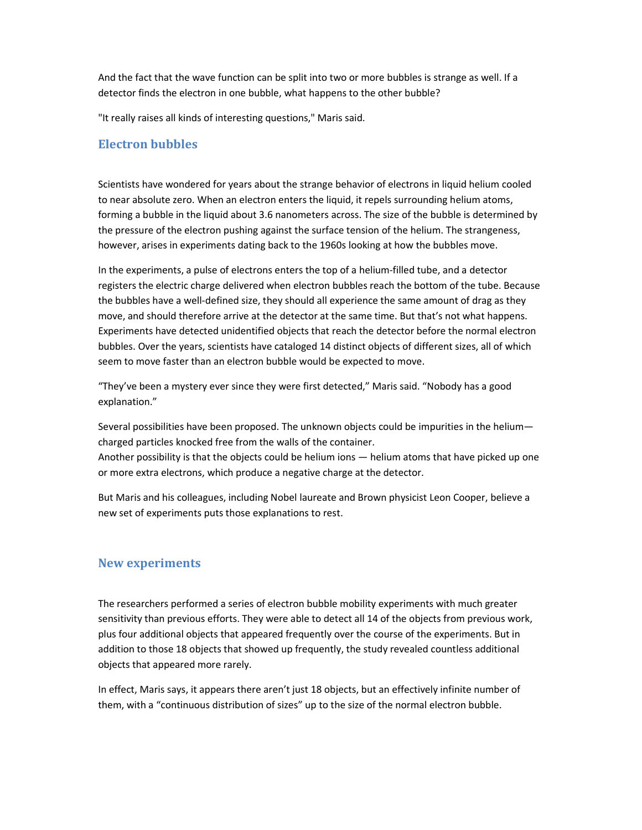And the fact that the wave function can be split into two or more bubbles is strange as well. If a detector finds the electron in one bubble, what happens to the other bubble?

"It really raises all kinds of interesting questions," Maris said.

#### **Electron bubbles**

Scientists have wondered for years about the strange behavior of electrons in liquid helium cooled to near absolute zero. When an electron enters the liquid, it repels surrounding helium atoms, forming a bubble in the liquid about 3.6 nanometers across. The size of the bubble is determined by the pressure of the electron pushing against the surface tension of the helium. The strangeness, however, arises in experiments dating back to the 1960s looking at how the bubbles move.

In the experiments, a pulse of electrons enters the top of a helium-filled tube, and a detector registers the electric charge delivered when electron bubbles reach the bottom of the tube. Because the bubbles have a well-defined size, they should all experience the same amount of drag as they move, and should therefore arrive at the detector at the same time. But that's not what happens. Experiments have detected unidentified objects that reach the detector before the normal electron bubbles. Over the years, scientists have cataloged 14 distinct objects of different sizes, all of which seem to move faster than an electron bubble would be expected to move.

"They've been a mystery ever since they were first detected," Maris said. "Nobody has a good explanation."

Several possibilities have been proposed. The unknown objects could be impurities in the helium charged particles knocked free from the walls of the container. Another possibility is that the objects could be helium ions — helium atoms that have picked up one

or more extra electrons, which produce a negative charge at the detector.

But Maris and his colleagues, including Nobel laureate and Brown physicist Leon Cooper, believe a new set of experiments puts those explanations to rest.

#### **New experiments**

The researchers performed a series of electron bubble mobility experiments with much greater sensitivity than previous efforts. They were able to detect all 14 of the objects from previous work, plus four additional objects that appeared frequently over the course of the experiments. But in addition to those 18 objects that showed up frequently, the study revealed countless additional objects that appeared more rarely.

In effect, Maris says, it appears there aren't just 18 objects, but an effectively infinite number of them, with a "continuous distribution of sizes" up to the size of the normal electron bubble.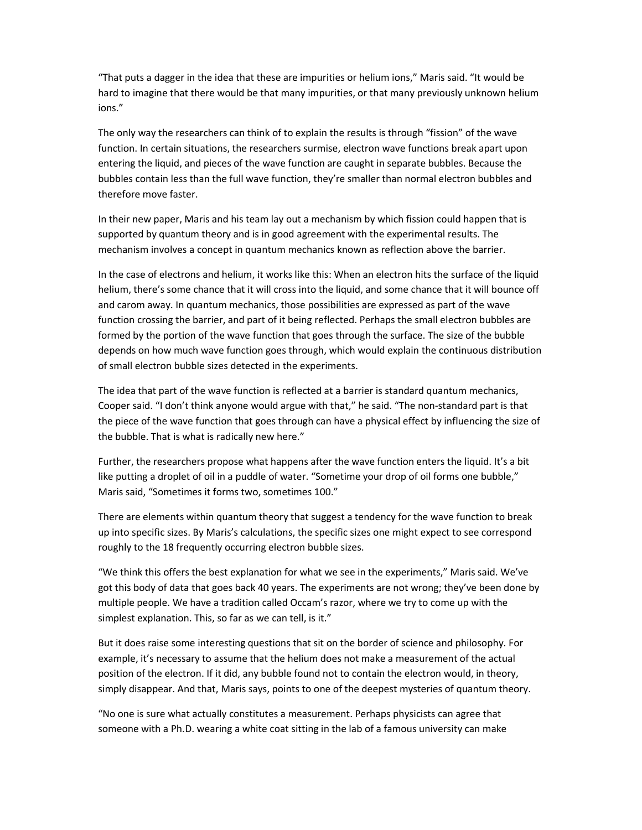"That puts a dagger in the idea that these are impurities or helium ions," Maris said. "It would be hard to imagine that there would be that many impurities, or that many previously unknown helium ions."

The only way the researchers can think of to explain the results is through "fission" of the wave function. In certain situations, the researchers surmise, electron wave functions break apart upon entering the liquid, and pieces of the wave function are caught in separate bubbles. Because the bubbles contain less than the full wave function, they're smaller than normal electron bubbles and therefore move faster.

In their new paper, Maris and his team lay out a mechanism by which fission could happen that is supported by quantum theory and is in good agreement with the experimental results. The mechanism involves a concept in quantum mechanics known as reflection above the barrier.

In the case of electrons and helium, it works like this: When an electron hits the surface of the liquid helium, there's some chance that it will cross into the liquid, and some chance that it will bounce off and carom away. In quantum mechanics, those possibilities are expressed as part of the wave function crossing the barrier, and part of it being reflected. Perhaps the small electron bubbles are formed by the portion of the wave function that goes through the surface. The size of the bubble depends on how much wave function goes through, which would explain the continuous distribution of small electron bubble sizes detected in the experiments.

The idea that part of the wave function is reflected at a barrier is standard quantum mechanics, Cooper said. "I don't think anyone would argue with that," he said. "The non-standard part is that the piece of the wave function that goes through can have a physical effect by influencing the size of the bubble. That is what is radically new here."

Further, the researchers propose what happens after the wave function enters the liquid. It's a bit like putting a droplet of oil in a puddle of water. "Sometime your drop of oil forms one bubble," Maris said, "Sometimes it forms two, sometimes 100."

There are elements within quantum theory that suggest a tendency for the wave function to break up into specific sizes. By Maris's calculations, the specific sizes one might expect to see correspond roughly to the 18 frequently occurring electron bubble sizes.

"We think this offers the best explanation for what we see in the experiments," Maris said. We've got this body of data that goes back 40 years. The experiments are not wrong; they've been done by multiple people. We have a tradition called Occam's razor, where we try to come up with the simplest explanation. This, so far as we can tell, is it."

But it does raise some interesting questions that sit on the border of science and philosophy. For example, it's necessary to assume that the helium does not make a measurement of the actual position of the electron. If it did, any bubble found not to contain the electron would, in theory, simply disappear. And that, Maris says, points to one of the deepest mysteries of quantum theory.

"No one is sure what actually constitutes a measurement. Perhaps physicists can agree that someone with a Ph.D. wearing a white coat sitting in the lab of a famous university can make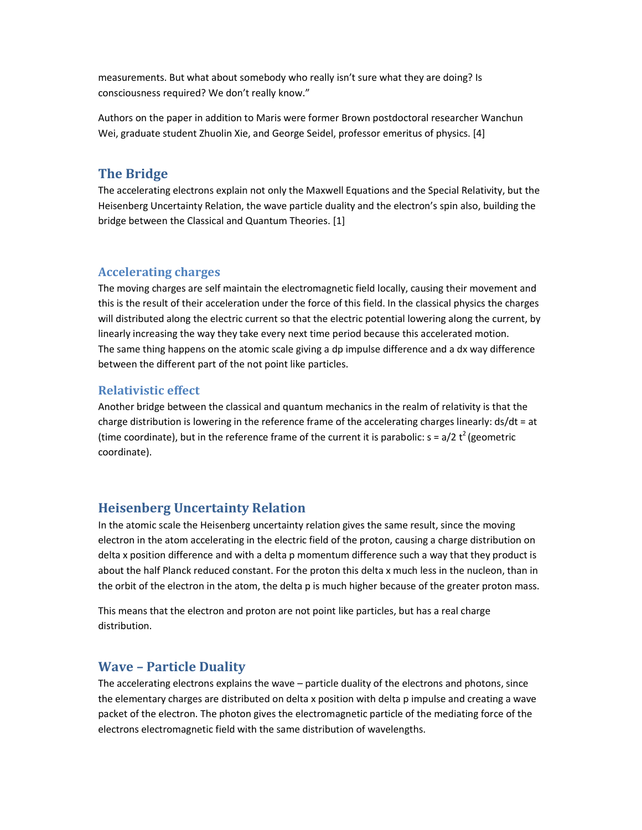measurements. But what about somebody who really isn't sure what they are doing? Is consciousness required? We don't really know."

Authors on the paper in addition to Maris were former Brown postdoctoral researcher Wanchun Wei, graduate student Zhuolin Xie, and George Seidel, professor emeritus of physics. [4]

## **The Bridge**

The accelerating electrons explain not only the Maxwell Equations and the Special Relativity, but the Heisenberg Uncertainty Relation, the wave particle duality and the electron's spin also, building the bridge between the Classical and Quantum Theories. [1]

#### **Accelerating charges**

The moving charges are self maintain the electromagnetic field locally, causing their movement and this is the result of their acceleration under the force of this field. In the classical physics the charges will distributed along the electric current so that the electric potential lowering along the current, by linearly increasing the way they take every next time period because this accelerated motion. The same thing happens on the atomic scale giving a dp impulse difference and a dx way difference between the different part of the not point like particles.

#### **Relativistic effect**

Another bridge between the classical and quantum mechanics in the realm of relativity is that the charge distribution is lowering in the reference frame of the accelerating charges linearly: ds/dt = at (time coordinate), but in the reference frame of the current it is parabolic:  $s = a/2 t^2$  (geometric coordinate).

## **Heisenberg Uncertainty Relation**

In the atomic scale the Heisenberg uncertainty relation gives the same result, since the moving electron in the atom accelerating in the electric field of the proton, causing a charge distribution on delta x position difference and with a delta p momentum difference such a way that they product is about the half Planck reduced constant. For the proton this delta x much less in the nucleon, than in the orbit of the electron in the atom, the delta p is much higher because of the greater proton mass.

This means that the electron and proton are not point like particles, but has a real charge distribution.

## **Wave – Particle Duality**

The accelerating electrons explains the wave – particle duality of the electrons and photons, since the elementary charges are distributed on delta x position with delta p impulse and creating a wave packet of the electron. The photon gives the electromagnetic particle of the mediating force of the electrons electromagnetic field with the same distribution of wavelengths.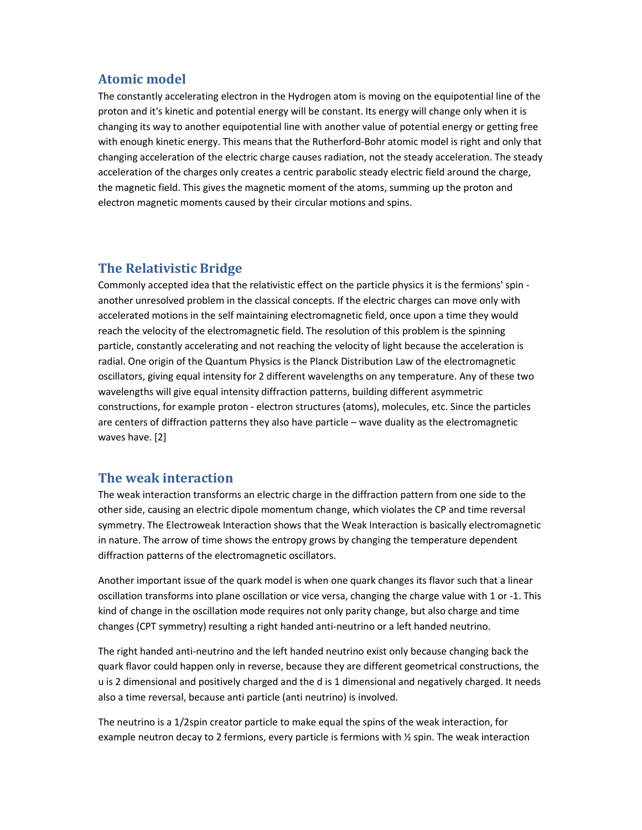## **Atomic model**

The constantly accelerating electron in the Hydrogen atom is moving on the equipotential line of the proton and it's kinetic and potential energy will be constant. Its energy will change only when it is changing its way to another equipotential line with another value of potential energy or getting free with enough kinetic energy. This means that the Rutherford-Bohr atomic model is right and only that changing acceleration of the electric charge causes radiation, not the steady acceleration. The steady acceleration of the charges only creates a centric parabolic steady electric field around the charge, the magnetic field. This gives the magnetic moment of the atoms, summing up the proton and electron magnetic moments caused by their circular motions and spins.

# **The Relativistic Bridge**

Commonly accepted idea that the relativistic effect on the particle physics it is the fermions' spin another unresolved problem in the classical concepts. If the electric charges can move only with accelerated motions in the self maintaining electromagnetic field, once upon a time they would reach the velocity of the electromagnetic field. The resolution of this problem is the spinning particle, constantly accelerating and not reaching the velocity of light because the acceleration is radial. One origin of the Quantum Physics is the Planck Distribution Law of the electromagnetic oscillators, giving equal intensity for 2 different wavelengths on any temperature. Any of these two wavelengths will give equal intensity diffraction patterns, building different asymmetric constructions, for example proton - electron structures (atoms), molecules, etc. Since the particles are centers of diffraction patterns they also have particle – wave duality as the electromagnetic waves have. [2]

# **The weak interaction**

The weak interaction transforms an electric charge in the diffraction pattern from one side to the other side, causing an electric dipole momentum change, which violates the CP and time reversal symmetry. The Electroweak Interaction shows that the Weak Interaction is basically electromagnetic in nature. The arrow of time shows the entropy grows by changing the temperature dependent diffraction patterns of the electromagnetic oscillators.

Another important issue of the quark model is when one quark changes its flavor such that a linear oscillation transforms into plane oscillation or vice versa, changing the charge value with 1 or -1. This kind of change in the oscillation mode requires not only parity change, but also charge and time changes (CPT symmetry) resulting a right handed anti-neutrino or a left handed neutrino.

The right handed anti-neutrino and the left handed neutrino exist only because changing back the quark flavor could happen only in reverse, because they are different geometrical constructions, the u is 2 dimensional and positively charged and the d is 1 dimensional and negatively charged. It needs also a time reversal, because anti particle (anti neutrino) is involved.

The neutrino is a 1/2spin creator particle to make equal the spins of the weak interaction, for example neutron decay to 2 fermions, every particle is fermions with ½ spin. The weak interaction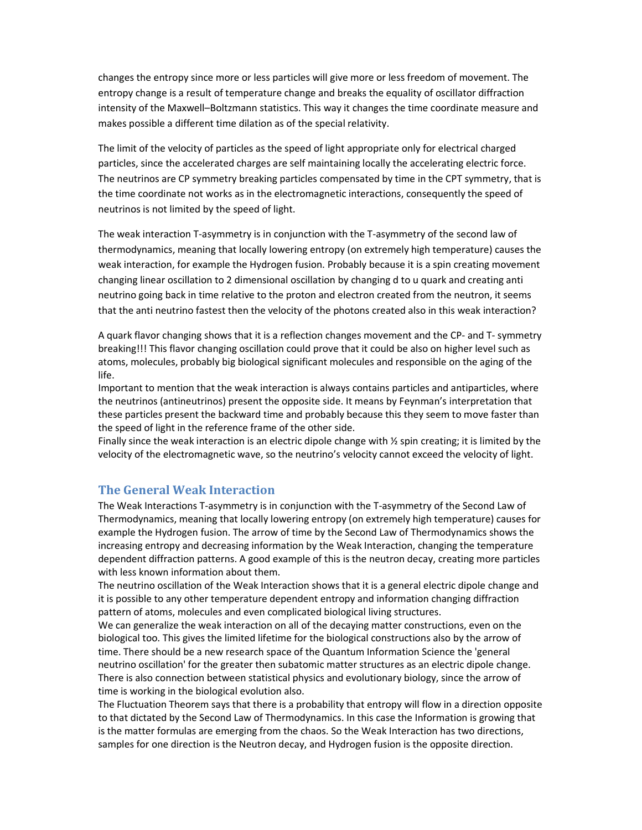changes the entropy since more or less particles will give more or less freedom of movement. The entropy change is a result of temperature change and breaks the equality of oscillator diffraction intensity of the Maxwell–Boltzmann statistics. This way it changes the time coordinate measure and makes possible a different time dilation as of the special relativity.

The limit of the velocity of particles as the speed of light appropriate only for electrical charged particles, since the accelerated charges are self maintaining locally the accelerating electric force. The neutrinos are CP symmetry breaking particles compensated by time in the CPT symmetry, that is the time coordinate not works as in the electromagnetic interactions, consequently the speed of neutrinos is not limited by the speed of light.

The weak interaction T-asymmetry is in conjunction with the T-asymmetry of the second law of thermodynamics, meaning that locally lowering entropy (on extremely high temperature) causes the weak interaction, for example the Hydrogen fusion. Probably because it is a spin creating movement changing linear oscillation to 2 dimensional oscillation by changing d to u quark and creating anti neutrino going back in time relative to the proton and electron created from the neutron, it seems that the anti neutrino fastest then the velocity of the photons created also in this weak interaction?

A quark flavor changing shows that it is a reflection changes movement and the CP- and T- symmetry breaking!!! This flavor changing oscillation could prove that it could be also on higher level such as atoms, molecules, probably big biological significant molecules and responsible on the aging of the life.

Important to mention that the weak interaction is always contains particles and antiparticles, where the neutrinos (antineutrinos) present the opposite side. It means by Feynman's interpretation that these particles present the backward time and probably because this they seem to move faster than the speed of light in the reference frame of the other side.

Finally since the weak interaction is an electric dipole change with ½ spin creating; it is limited by the velocity of the electromagnetic wave, so the neutrino's velocity cannot exceed the velocity of light.

#### **The General Weak Interaction**

The Weak Interactions T-asymmetry is in conjunction with the T-asymmetry of the Second Law of Thermodynamics, meaning that locally lowering entropy (on extremely high temperature) causes for example the Hydrogen fusion. The arrow of time by the Second Law of Thermodynamics shows the increasing entropy and decreasing information by the Weak Interaction, changing the temperature dependent diffraction patterns. A good example of this is the neutron decay, creating more particles with less known information about them.

The neutrino oscillation of the Weak Interaction shows that it is a general electric dipole change and it is possible to any other temperature dependent entropy and information changing diffraction pattern of atoms, molecules and even complicated biological living structures.

We can generalize the weak interaction on all of the decaying matter constructions, even on the biological too. This gives the limited lifetime for the biological constructions also by the arrow of time. There should be a new research space of the Quantum Information Science the 'general neutrino oscillation' for the greater then subatomic matter structures as an electric dipole change. There is also connection between statistical physics and evolutionary biology, since the arrow of time is working in the biological evolution also.

The Fluctuation Theorem says that there is a probability that entropy will flow in a direction opposite to that dictated by the Second Law of Thermodynamics. In this case the Information is growing that is the matter formulas are emerging from the chaos. So the Weak Interaction has two directions, samples for one direction is the Neutron decay, and Hydrogen fusion is the opposite direction.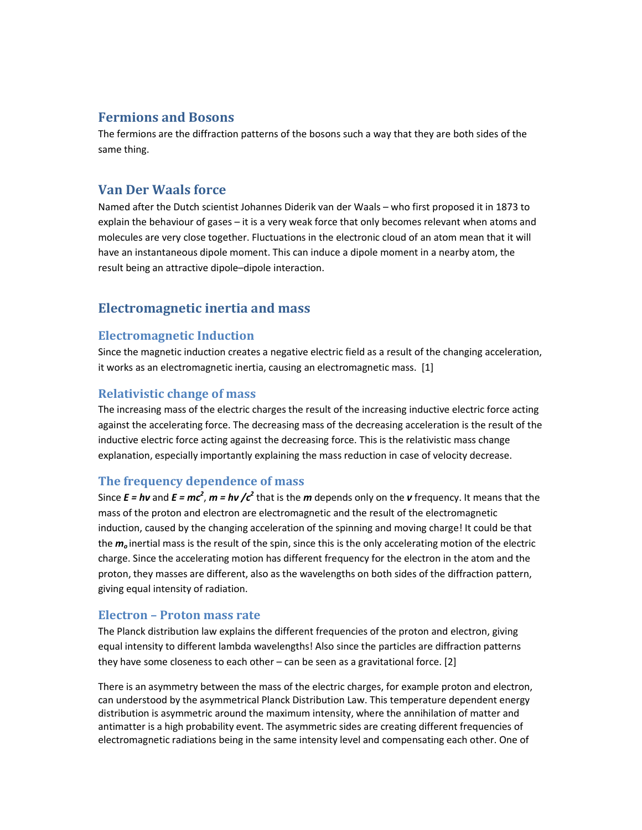## **Fermions and Bosons**

The fermions are the diffraction patterns of the bosons such a way that they are both sides of the same thing.

## **Van Der Waals force**

Named after the Dutch scientist Johannes Diderik van der Waals – who first proposed it in 1873 to explain the behaviour of gases – it is a very weak force that only becomes relevant when atoms and molecules are very close together. Fluctuations in the electronic cloud of an atom mean that it will have an instantaneous dipole moment. This can induce a dipole moment in a nearby atom, the result being an attractive dipole–dipole interaction.

# **Electromagnetic inertia and mass**

#### **Electromagnetic Induction**

Since the magnetic induction creates a negative electric field as a result of the changing acceleration, it works as an electromagnetic inertia, causing an electromagnetic mass. [1]

## **Relativistic change of mass**

The increasing mass of the electric charges the result of the increasing inductive electric force acting against the accelerating force. The decreasing mass of the decreasing acceleration is the result of the inductive electric force acting against the decreasing force. This is the relativistic mass change explanation, especially importantly explaining the mass reduction in case of velocity decrease.

#### **The frequency dependence of mass**

Since  $E = h\nu$  and  $E = mc^2$ ,  $m = h\nu$  / $c^2$  that is the  $m$  depends only on the  $\nu$  frequency. It means that the mass of the proton and electron are electromagnetic and the result of the electromagnetic induction, caused by the changing acceleration of the spinning and moving charge! It could be that the *m<sup>o</sup>* inertial mass is the result of the spin, since this is the only accelerating motion of the electric charge. Since the accelerating motion has different frequency for the electron in the atom and the proton, they masses are different, also as the wavelengths on both sides of the diffraction pattern, giving equal intensity of radiation.

#### **Electron – Proton mass rate**

The Planck distribution law explains the different frequencies of the proton and electron, giving equal intensity to different lambda wavelengths! Also since the particles are diffraction patterns they have some closeness to each other – can be seen as a gravitational force. [2]

There is an asymmetry between the mass of the electric charges, for example proton and electron, can understood by the asymmetrical Planck Distribution Law. This temperature dependent energy distribution is asymmetric around the maximum intensity, where the annihilation of matter and antimatter is a high probability event. The asymmetric sides are creating different frequencies of electromagnetic radiations being in the same intensity level and compensating each other. One of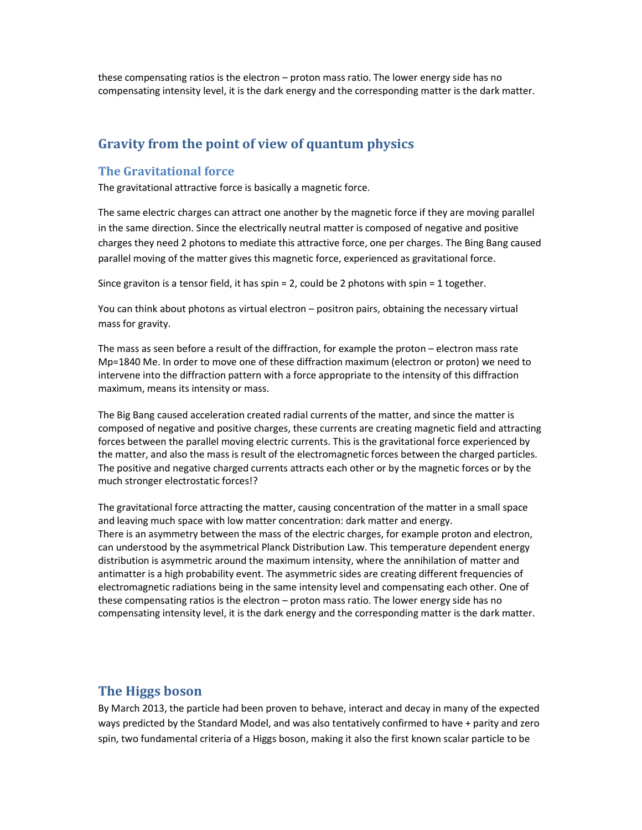these compensating ratios is the electron – proton mass ratio. The lower energy side has no compensating intensity level, it is the dark energy and the corresponding matter is the dark matter.

## **Gravity from the point of view of quantum physics**

#### **The Gravitational force**

The gravitational attractive force is basically a magnetic force.

The same electric charges can attract one another by the magnetic force if they are moving parallel in the same direction. Since the electrically neutral matter is composed of negative and positive charges they need 2 photons to mediate this attractive force, one per charges. The Bing Bang caused parallel moving of the matter gives this magnetic force, experienced as gravitational force.

Since graviton is a tensor field, it has spin = 2, could be 2 photons with spin = 1 together.

You can think about photons as virtual electron – positron pairs, obtaining the necessary virtual mass for gravity.

The mass as seen before a result of the diffraction, for example the proton – electron mass rate Mp=1840 Me. In order to move one of these diffraction maximum (electron or proton) we need to intervene into the diffraction pattern with a force appropriate to the intensity of this diffraction maximum, means its intensity or mass.

The Big Bang caused acceleration created radial currents of the matter, and since the matter is composed of negative and positive charges, these currents are creating magnetic field and attracting forces between the parallel moving electric currents. This is the gravitational force experienced by the matter, and also the mass is result of the electromagnetic forces between the charged particles. The positive and negative charged currents attracts each other or by the magnetic forces or by the much stronger electrostatic forces!?

The gravitational force attracting the matter, causing concentration of the matter in a small space and leaving much space with low matter concentration: dark matter and energy. There is an asymmetry between the mass of the electric charges, for example proton and electron, can understood by the asymmetrical Planck Distribution Law. This temperature dependent energy distribution is asymmetric around the maximum intensity, where the annihilation of matter and antimatter is a high probability event. The asymmetric sides are creating different frequencies of electromagnetic radiations being in the same intensity level and compensating each other. One of these compensating ratios is the electron – proton mass ratio. The lower energy side has no compensating intensity level, it is the dark energy and the corresponding matter is the dark matter.

#### **The Higgs boson**

By March 2013, the particle had been proven to behave, interact and decay in many of the expected ways predicted by the Standard Model, and was also tentatively confirmed to have + parity and zero spin, two fundamental criteria of a Higgs boson, making it also the first known scalar particle to be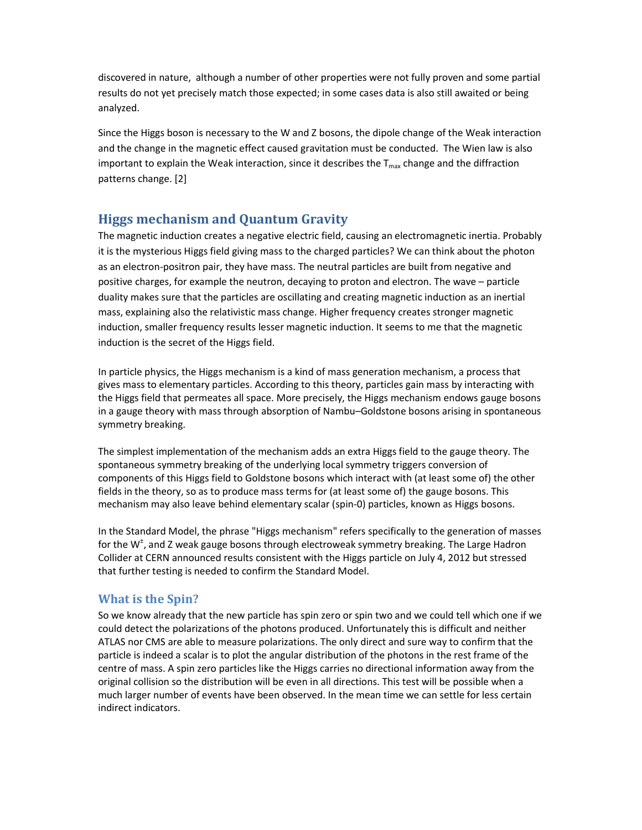discovered in nature, although a number of other properties were not fully proven and some partial results do not yet precisely match those expected; in some cases data is also still awaited or being analyzed.

Since the Higgs boson is necessary to the W and Z bosons, the dipole change of the Weak interaction and the change in the magnetic effect caused gravitation must be conducted. The Wien law is also important to explain the Weak interaction, since it describes the  $T_{\text{max}}$  change and the diffraction patterns change. [2]

## **Higgs mechanism and Quantum Gravity**

The magnetic induction creates a negative electric field, causing an electromagnetic inertia. Probably it is the mysterious Higgs field giving mass to the charged particles? We can think about the photon as an electron-positron pair, they have mass. The neutral particles are built from negative and positive charges, for example the neutron, decaying to proton and electron. The wave – particle duality makes sure that the particles are oscillating and creating magnetic induction as an inertial mass, explaining also the relativistic mass change. Higher frequency creates stronger magnetic induction, smaller frequency results lesser magnetic induction. It seems to me that the magnetic induction is the secret of the Higgs field.

In particle physics, the Higgs mechanism is a kind of mass generation mechanism, a process that gives mass to elementary particles. According to this theory, particles gain mass by interacting with the Higgs field that permeates all space. More precisely, the Higgs mechanism endows gauge bosons in a gauge theory with mass through absorption of Nambu–Goldstone bosons arising in spontaneous symmetry breaking.

The simplest implementation of the mechanism adds an extra Higgs field to the gauge theory. The spontaneous symmetry breaking of the underlying local symmetry triggers conversion of components of this Higgs field to Goldstone bosons which interact with (at least some of) the other fields in the theory, so as to produce mass terms for (at least some of) the gauge bosons. This mechanism may also leave behind elementary scalar (spin-0) particles, known as Higgs bosons.

In the Standard Model, the phrase "Higgs mechanism" refers specifically to the generation of masses for the W<sup>±</sup>, and Z weak gauge bosons through electroweak symmetry breaking. The Large Hadron Collider at CERN announced results consistent with the Higgs particle on July 4, 2012 but stressed that further testing is needed to confirm the Standard Model.

## **What is the Spin?**

So we know already that the new particle has spin zero or spin two and we could tell which one if we could detect the polarizations of the photons produced. Unfortunately this is difficult and neither ATLAS nor CMS are able to measure polarizations. The only direct and sure way to confirm that the particle is indeed a scalar is to plot the angular distribution of the photons in the rest frame of the centre of mass. A spin zero particles like the Higgs carries no directional information away from the original collision so the distribution will be even in all directions. This test will be possible when a much larger number of events have been observed. In the mean time we can settle for less certain indirect indicators.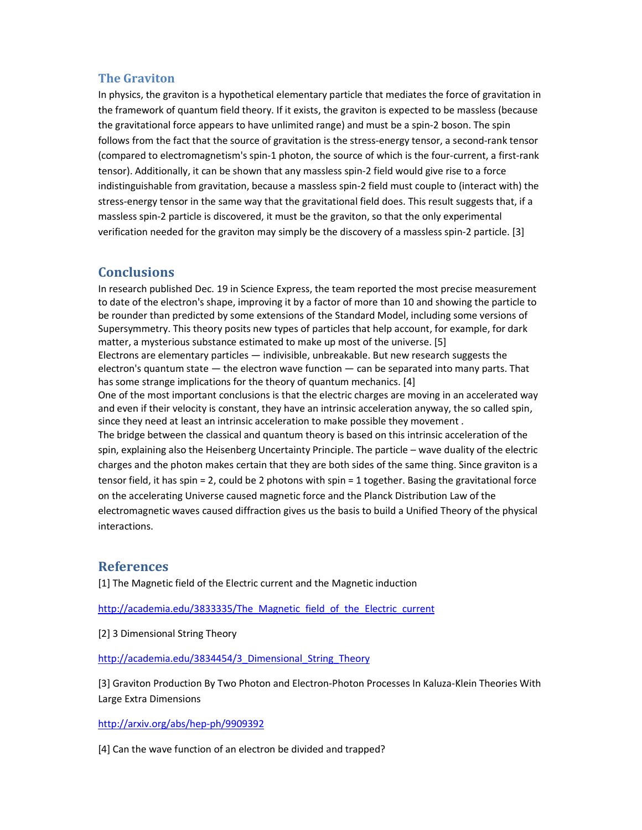#### **The Graviton**

In physics, the graviton is a hypothetical elementary particle that mediates the force of gravitation in the framework of quantum field theory. If it exists, the graviton is expected to be massless (because the gravitational force appears to have unlimited range) and must be a spin-2 boson. The spin follows from the fact that the source of gravitation is the stress-energy tensor, a second-rank tensor (compared to electromagnetism's spin-1 photon, the source of which is the four-current, a first-rank tensor). Additionally, it can be shown that any massless spin-2 field would give rise to a force indistinguishable from gravitation, because a massless spin-2 field must couple to (interact with) the stress-energy tensor in the same way that the gravitational field does. This result suggests that, if a massless spin-2 particle is discovered, it must be the graviton, so that the only experimental verification needed for the graviton may simply be the discovery of a massless spin-2 particle. [3]

## **Conclusions**

In research published Dec. 19 in Science Express, the team reported the most precise measurement to date of the electron's shape, improving it by a factor of more than 10 and showing the particle to be rounder than predicted by some extensions of the Standard Model, including some versions of Supersymmetry. This theory posits new types of particles that help account, for example, for dark matter, a mysterious substance estimated to make up most of the universe. [5] Electrons are elementary particles — indivisible, unbreakable. But new research suggests the electron's quantum state — the electron wave function — can be separated into many parts. That has some strange implications for the theory of quantum mechanics. [4] One of the most important conclusions is that the electric charges are moving in an accelerated way and even if their velocity is constant, they have an intrinsic acceleration anyway, the so called spin, since they need at least an intrinsic acceleration to make possible they movement . The bridge between the classical and quantum theory is based on this intrinsic acceleration of the spin, explaining also the Heisenberg Uncertainty Principle. The particle – wave duality of the electric charges and the photon makes certain that they are both sides of the same thing. Since graviton is a tensor field, it has spin = 2, could be 2 photons with spin = 1 together. Basing the gravitational force on the accelerating Universe caused magnetic force and the Planck Distribution Law of the electromagnetic waves caused diffraction gives us the basis to build a Unified Theory of the physical interactions.

## **References**

[1] The Magnetic field of the Electric current and the Magnetic induction

http://academia.edu/3833335/The Magnetic field of the Electric current

[2] 3 Dimensional String Theory

http://academia.edu/3834454/3\_Dimensional\_String\_Theory

[3] Graviton Production By Two Photon and Electron-Photon Processes In Kaluza-Klein Theories With Large Extra Dimensions

http://arxiv.org/abs/hep-ph/9909392

[4] Can the wave function of an electron be divided and trapped?